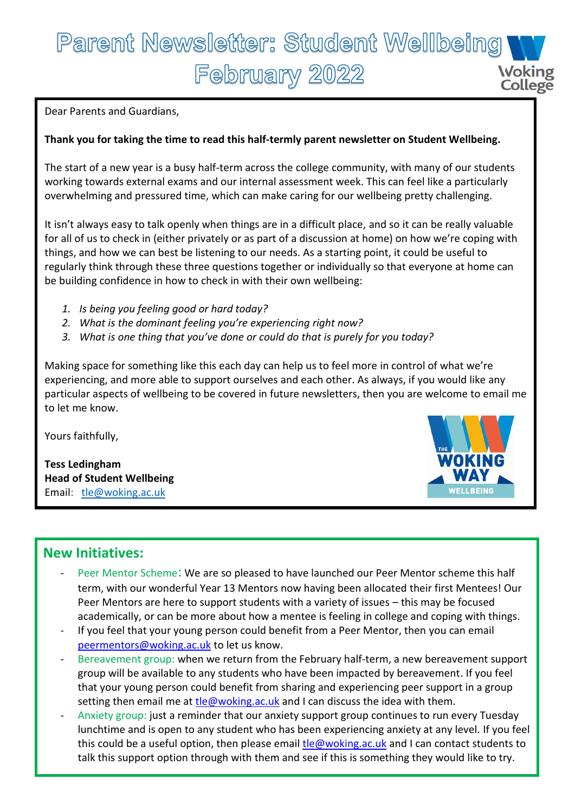## Parent Newsletter: Student Wellbeing February 2022 **Woking College**

Dear Parents and Guardians,

#### **Thank you for taking the time to read this half-termly parent newsletter on Student Wellbeing.**

The start of a new year is a busy half-term across the college community, with many of our students working towards external exams and our internal assessment week. This can feel like a particularly overwhelming and pressured time, which can make caring for our wellbeing pretty challenging.

It isn't always easy to talk openly when things are in a difficult place, and so it can be really valuable for all of us to check in (either privately or as part of a discussion at home) on how we're coping with things, and how we can best be listening to our needs. As a starting point, it could be useful to regularly think through these three questions together or individually so that everyone at home can be building confidence in how to check in with their own wellbeing:

- *1. Is being you feeling good or hard today?*
- *2. What is the dominant feeling you're experiencing right now?*
- *3. What is one thing that you've done or could do that is purely for you today?*

Making space for something like this each day can help us to feel more in control of what we're experiencing, and more able to support ourselves and each other. As always, if you would like any particular aspects of wellbeing to be covered in future newsletters, then you are welcome to email me to let me know.

Yours faithfully,

**Tess Ledingham Head of Student Wellbeing** Email: [tle@woking.ac.uk](mailto:tle@woking.ac.uk)



### **New Initiatives:**

- Peer Mentor Scheme: We are so pleased to have launched our Peer Mentor scheme this half term, with our wonderful Year 13 Mentors now having been allocated their first Mentees! Our Peer Mentors are here to support students with a variety of issues – this may be focused academically, or can be more about how a mentee is feeling in college and coping with things.
- If you feel that your young person could benefit from a Peer Mentor, then you can email [peermentors@woking.ac.uk](mailto:peermentors@woking.ac.uk) to let us know.
- Bereavement group: when we return from the February half-term, a new bereavement support group will be available to any students who have been impacted by bereavement. If you feel that your young person could benefit from sharing and experiencing peer support in a group setting then email me at [tle@woking.ac.uk](mailto:tle@woking.ac.uk) and I can discuss the idea with them.
- Anxiety group: just a reminder that our anxiety support group continues to run every Tuesday lunchtime and is open to any student who has been experiencing anxiety at any level. If you feel this could be a useful option, then please email [tle@woking.ac.uk](mailto:tle@woking.ac.uk) and I can contact students to talk this support option through with them and see if this is something they would like to try.